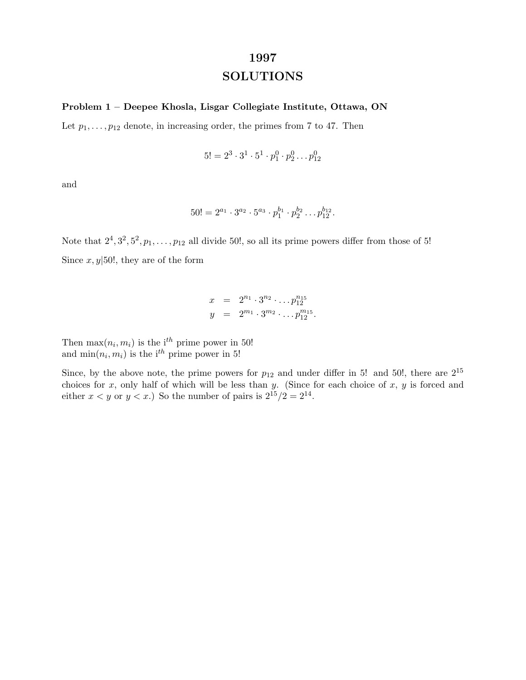# **1997 SOLUTIONS**

### **Problem 1 – Deepee Khosla, Lisgar Collegiate Institute, Ottawa, ON**

Let  $p_1, \ldots, p_{12}$  denote, in increasing order, the primes from 7 to 47. Then

$$
5! = 2^3 \cdot 3^1 \cdot 5^1 \cdot p_1^0 \cdot p_2^0 \dots p_{12}^0
$$

and

$$
50! = 2^{a_1} \cdot 3^{a_2} \cdot 5^{a_3} \cdot p_1^{b_1} \cdot p_2^{b_2} \dots p_{12}^{b_{12}}.
$$

Note that  $2^4, 3^2, 5^2, p_1, \ldots, p_{12}$  all divide 50!, so all its prime powers differ from those of 5! Since  $x, y$  50!, they are of the form

$$
x = 2^{n_1} \cdot 3^{n_2} \cdot \ldots p_{12}^{n_{15}}
$$
  

$$
y = 2^{m_1} \cdot 3^{m_2} \cdot \ldots p_{12}^{m_{15}}.
$$

Then  $\max(n_i, m_i)$  is the i<sup>th</sup> prime power in 50! and  $\min(n_i, m_i)$  is the i<sup>th</sup> prime power in 5!

Since, by the above note, the prime powers for  $p_{12}$  and under differ in 5! and 50!, there are  $2^{15}$ choices for  $x$ , only half of which will be less than  $y$ . (Since for each choice of  $x$ ,  $y$  is forced and either  $x < y$  or  $y < x$ .) So the number of pairs is  $2^{15}/2 = 2^{14}$ .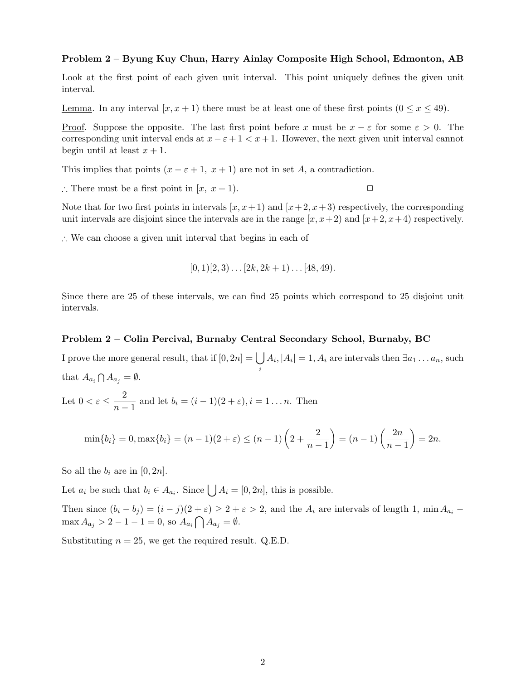#### **Problem 2 – Byung Kuy Chun, Harry Ainlay Composite High School, Edmonton, AB**

Look at the first point of each given unit interval. This point uniquely defines the given unit interval.

<u>Lemma</u>. In any interval  $[x, x + 1)$  there must be at least one of these first points  $(0 \le x \le 49)$ .

<u>Proof</u>. Suppose the opposite. The last first point before x must be  $x - \varepsilon$  for some  $\varepsilon > 0$ . The corresponding unit interval ends at  $x - \varepsilon + 1 < x + 1$ . However, the next given unit interval cannot begin until at least  $x + 1$ .

This implies that points  $(x - \varepsilon + 1, x + 1)$  are not in set A, a contradiction.

∴ There must be a first point in  $[x, x+1)$ .  $\Box$ 

Note that for two first points in intervals  $[x, x+1)$  and  $[x+2, x+3)$  respectively, the corresponding unit intervals are disjoint since the intervals are in the range  $[x, x+2)$  and  $[x+2, x+4)$  respectively.

∴ We can choose a given unit interval that begins in each of

$$
[0,1)[2,3)\ldots[2k,2k+1)\ldots[48,49).
$$

Since there are 25 of these intervals, we can find 25 points which correspond to 25 disjoint unit intervals.

#### **Problem 2 – Colin Percival, Burnaby Central Secondary School, Burnaby, BC**

I prove the more general result, that if  $[0, 2n] = |$ i  $A_i, |A_i| = 1, A_i$  are intervals then  $\exists a_1 \dots a_n$ , such that  $A_{a_i} \bigcap A_{a_j} = \emptyset$ .

Let 
$$
0 < \varepsilon \leq \frac{2}{n-1}
$$
 and let  $b_i = (i-1)(2+\varepsilon), i = 1...n$ . Then

$$
\min\{b_i\} = 0, \max\{b_i\} = (n-1)(2+\varepsilon) \le (n-1)\left(2+\frac{2}{n-1}\right) = (n-1)\left(\frac{2n}{n-1}\right) = 2n.
$$

So all the  $b_i$  are in [0, 2n].

Let  $a_i$  be such that  $b_i \in A_{a_i}$ . Since  $\bigcup A_i = [0, 2n]$ , this is possible.

Then since  $(b_i - b_j) = (i - j)(2 + \varepsilon) \ge 2 + \varepsilon > 2$ , and the  $A_i$  are intervals of length 1, min  $A_{a_i}$  –  $\max A_{a_j} > 2 - 1 - 1 = 0$ , so  $A_{a_i} \bigcap A_{a_j} = \emptyset$ .

Substituting  $n = 25$ , we get the required result. Q.E.D.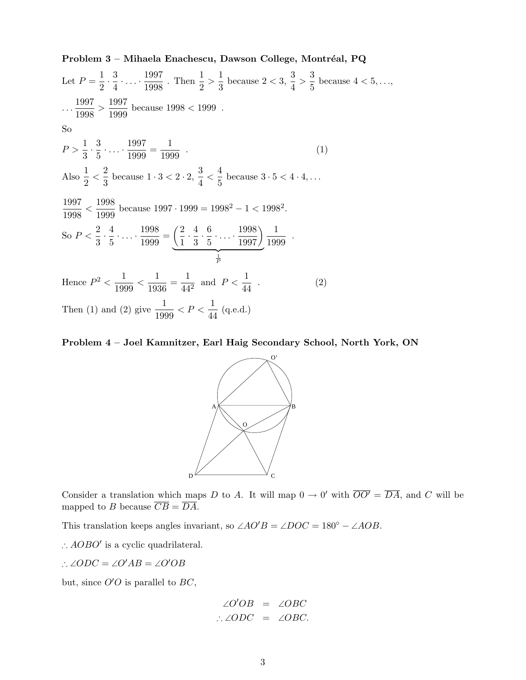Let 
$$
P = \frac{1}{2} \cdot \frac{3}{4} \cdot \dots \cdot \frac{1997}{1998}
$$
. Then  $\frac{1}{2} > \frac{1}{3}$  because  $2 < 3$ ,  $\frac{3}{4} > \frac{3}{5}$  because  $4 < 5, \dots$ ,  
\n $\dots \frac{1997}{1998} > \frac{1997}{1999}$  because  $1998 < 1999$ .  
\nSo  
\n $P > \frac{1}{3} \cdot \frac{3}{5} \cdot \dots \cdot \frac{1997}{1999} = \frac{1}{1999}$ .  
\nAlso  $\frac{1}{2} < \frac{2}{3}$  because  $1 \cdot 3 < 2 \cdot 2$ ,  $\frac{3}{4} < \frac{4}{5}$  because  $3 \cdot 5 < 4 \cdot 4, \dots$   
\n $\frac{1997}{1998} < \frac{1998}{1999}$  because  $1997 \cdot 1999 = 1998^2 - 1 < 1998^2$ .  
\nSo  $P < \frac{2}{3} \cdot \frac{4}{5} \cdot \dots \cdot \frac{1998}{1999} = \underbrace{\left(\frac{2}{1} \cdot \frac{4}{3} \cdot \frac{6}{5} \cdot \dots \cdot \frac{1998}{1997}\right)}_{\frac{1}{P}}$   
\nHence  $P^2 < \frac{1}{1999} < \frac{1}{1936} = \frac{1}{44^2}$  and  $P < \frac{1}{44}$ .  
\nThen (1) and (2) give  $\frac{1}{1999} < P < \frac{1}{44}$  (q.e.d.)

Problem 3 – Mihaela Enachescu, Dawson College, Montréal, PQ

**Problem 4 – Joel Kamnitzer, Earl Haig Secondary School, North York, ON**



Consider a translation which maps D to A. It will map  $0 \to 0'$  with  $\overline{OO'} = \overline{DA}$ , and C will be mapped to B because  $\overline{CB} = \overline{DA}$ .

This translation keeps angles invariant, so  $\angle AO'B = \angle DOC = 180^\circ - \angle AOB$ .

∴  $AOBO'$  is a cyclic quadrilateral.

∴  $\angle ODC = \angle O'AB = \angle O'OB$ 

but, since  $O'O$  is parallel to  $BC$ ,

$$
\angle O'OB = \angle OBC
$$
  

$$
\therefore \angle ODC = \angle OBC.
$$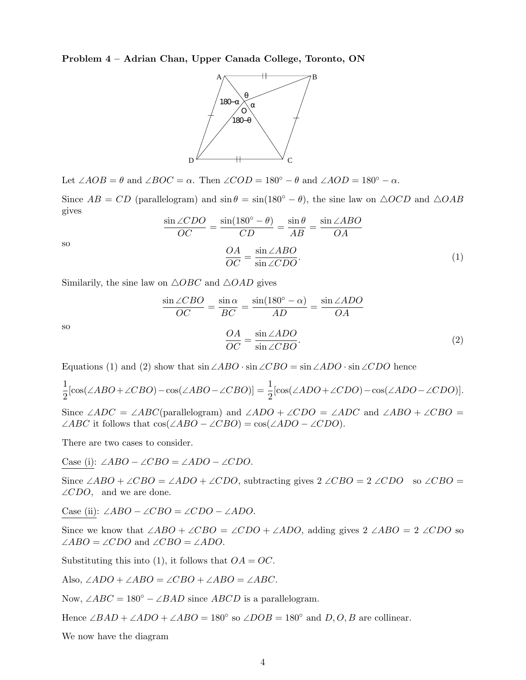**Problem 4 – Adrian Chan, Upper Canada College, Toronto, ON**



Let  $\angle AOB = \theta$  and  $\angle BOC = \alpha$ . Then  $\angle COD = 180^\circ - \theta$  and  $\angle AOD = 180^\circ - \alpha$ .

Since  $AB = CD$  (parallelogram) and  $\sin \theta = \sin(180^\circ - \theta)$ , the sine law on  $\triangle OCD$  and  $\triangle OAB$ gives

$$
\frac{\sin \angle CDO}{OC} = \frac{\sin(180^\circ - \theta)}{CD} = \frac{\sin \theta}{AB} = \frac{\sin \angle ABO}{OA}
$$

$$
\frac{OA}{OC} = \frac{\sin \angle ABO}{\sin \angle CDO}.
$$
(1)

so

Similarily, the sine law on  $\triangle OBC$  and  $\triangle OAD$  gives

$$
\frac{\sin \angle CBO}{OC} = \frac{\sin \alpha}{BC} = \frac{\sin(180^\circ - \alpha)}{AD} = \frac{\sin \angle ADO}{OA}
$$

$$
\frac{OA}{OC} = \frac{\sin \angle ADO}{\sin \angle CBO}.
$$
(2)

so

Equations (1) and (2) show that  $\sin \angle ABO \cdot \sin \angle CBO = \sin \angle ADO \cdot \sin \angle CDO$  hence

$$
\frac{1}{2}[\cos(\angle ABO + \angle CBO) - \cos(\angle ABO - \angle CBO)] = \frac{1}{2}[\cos(\angle ADO + \angle CDO) - \cos(\angle ADO - \angle CDO)].
$$

Since ∠ADC = ∠ABC(parallelogram) and ∠ADO + ∠CDO = ∠ADC and ∠ABO + ∠CBO =  $\angle ABC$  it follows that  $\cos(\angle ABO - \angle CBO) = \cos(\angle ADO - \angle CDO)$ .

There are two cases to consider.

Case (i): ∠ABO – ∠CBO = ∠ADO – ∠CDO.

Since ∠ABO + ∠CBO = ∠ADO + ∠CDO, subtracting gives  $2 \angle CBO = 2 \angle CDO$  so ∠CBO =  $\angle CDO$ , and we are done.

Case (ii): ∠ABO – ∠CBO = ∠CDO – ∠ADO.

Since we know that  $\angle ABO + \angle CBO = \angle CDO + \angle ADO$ , adding gives 2  $\angle ABO = 2 \angle CDO$  so  $\angle ABO = \angle CDO$  and  $\angle CBO = \angle ADO$ .

Substituting this into (1), it follows that  $OA = OC$ .

Also,  $∠ADO + ∠ABO = ∠CBO + ∠ABO = ∠ABC$ .

Now,  $\angle ABC = 180^\circ - \angle BAD$  since  $ABCD$  is a parallelogram.

Hence  $\angle BAD + \angle ADO + \angle ABO = 180°$  so  $\angle DOB = 180°$  and D, O, B are collinear.

We now have the diagram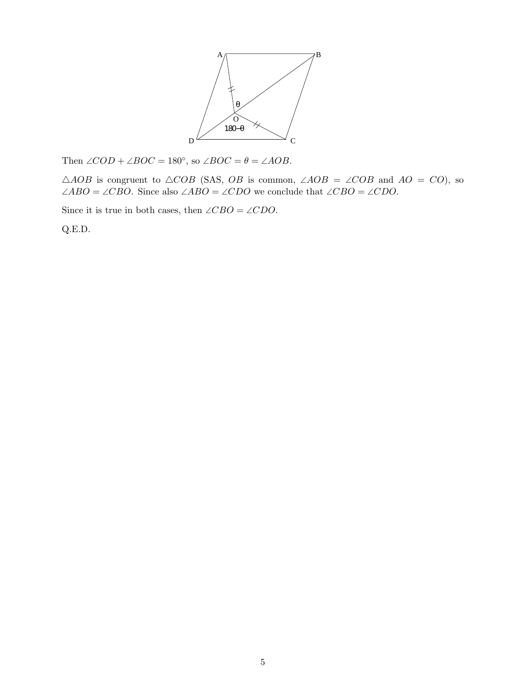

Then  $\angle COD + \angle BOC = 180^\circ$ , so  $\angle BOC = \theta = \angle AOB$ .

 $\triangle AOB$  is congruent to  $\triangle COB$  (SAS, OB is common,  $\angle AOB = \angle COB$  and  $AO = CO$ ), so ∠ABO = ∠CBO. Since also ∠ABO = ∠CDO we conclude that ∠CBO = ∠CDO.

Since it is true in both cases, then ∠CBO = ∠CDO.

Q.E.D.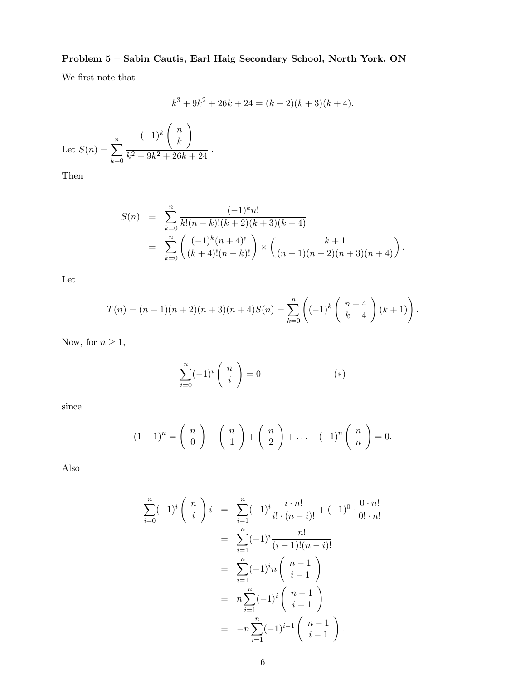## **Problem 5 – Sabin Cautis, Earl Haig Secondary School, North York, ON**

We first note that

$$
k3 + 9k2 + 26k + 24 = (k + 2)(k + 3)(k + 4).
$$

Let 
$$
S(n) = \sum_{k=0}^{n} \frac{(-1)^k {n \choose k}}{k^2 + 9k^2 + 26k + 24}
$$
.

Then

$$
S(n) = \sum_{k=0}^{n} \frac{(-1)^{k} n!}{k! (n-k)! (k+2)(k+3)(k+4)}
$$
  
= 
$$
\sum_{k=0}^{n} \left( \frac{(-1)^{k} (n+4)!}{(k+4)! (n-k)!} \right) \times \left( \frac{k+1}{(n+1)(n+2)(n+3)(n+4)} \right).
$$

Let

$$
T(n) = (n+1)(n+2)(n+3)(n+4)S(n) = \sum_{k=0}^{n} \left( (-1)^k \binom{n+4}{k+4} (k+1) \right).
$$

Now, for  $n \geq 1$ ,

$$
\sum_{i=0}^{n} (-1)^{i} \binom{n}{i} = 0 \tag{*}
$$

since

$$
(1-1)^n = {n \choose 0} - {n \choose 1} + {n \choose 2} + \ldots + (-1)^n {n \choose n} = 0.
$$

Also

$$
\sum_{i=0}^{n} (-1)^{i} \binom{n}{i} i = \sum_{i=1}^{n} (-1)^{i} \frac{i \cdot n!}{i! \cdot (n-i)!} + (-1)^{0} \cdot \frac{0 \cdot n!}{0! \cdot n!}
$$
  
\n
$$
= \sum_{i=1}^{n} (-1)^{i} \frac{n!}{(i-1)!(n-i)!}
$$
  
\n
$$
= \sum_{i=1}^{n} (-1)^{i} n \binom{n-1}{i-1}
$$
  
\n
$$
= n \sum_{i=1}^{n} (-1)^{i} \binom{n-1}{i-1}
$$
  
\n
$$
= -n \sum_{i=1}^{n} (-1)^{i-1} \binom{n-1}{i-1}.
$$